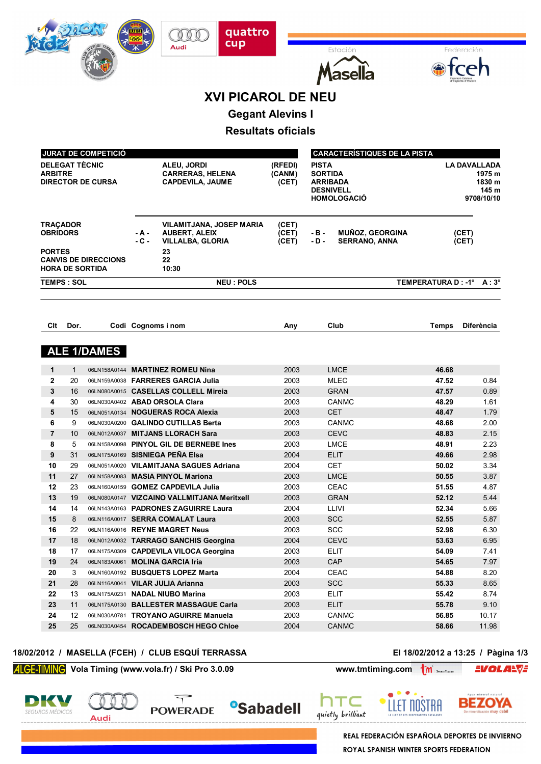|                       |              |                             |                    | <b>XVI PICAROL DE NEU</b>                                                  |                           |                                   |                                     |                          |                     |
|-----------------------|--------------|-----------------------------|--------------------|----------------------------------------------------------------------------|---------------------------|-----------------------------------|-------------------------------------|--------------------------|---------------------|
|                       |              |                             |                    |                                                                            |                           |                                   |                                     |                          |                     |
|                       |              |                             |                    |                                                                            | <b>Gegant Alevins I</b>   |                                   |                                     |                          |                     |
|                       |              |                             |                    |                                                                            | <b>Resultats oficials</b> |                                   |                                     |                          |                     |
|                       |              |                             |                    |                                                                            |                           |                                   |                                     |                          |                     |
|                       |              | <b>JURAT DE COMPETICIÓ</b>  |                    |                                                                            |                           |                                   | <b>CARACTERÍSTIQUES DE LA PISTA</b> |                          |                     |
| <b>DELEGAT TÈCNIC</b> |              |                             |                    | ALEU, JORDI                                                                | (RFEDI)                   | <b>PISTA</b>                      |                                     |                          | <b>LA DAVALLADA</b> |
| <b>ARBITRE</b>        |              | <b>DIRECTOR DE CURSA</b>    |                    | <b>CARRERAS, HELENA</b><br><b>CAPDEVILA, JAUME</b>                         | (CANM)<br>(CET)           | <b>SORTIDA</b><br><b>ARRIBADA</b> |                                     |                          | 1975 m<br>1830 m    |
|                       |              |                             |                    |                                                                            |                           | <b>DESNIVELL</b>                  |                                     |                          | 145 m               |
|                       |              |                             |                    |                                                                            |                           | <b>HOMOLOGACIO</b>                |                                     |                          | 9708/10/10          |
|                       |              |                             |                    |                                                                            |                           |                                   |                                     |                          |                     |
| <b>TRACADOR</b>       |              |                             |                    | VILAMITJANA, JOSEP MARIA                                                   | (CET)                     |                                   |                                     |                          |                     |
| <b>OBRIDORS</b>       |              |                             | - A -              | <b>AUBERT, ALEIX</b>                                                       | (CET)                     | - B -                             | <b>MUÑOZ, GEORGINA</b>              |                          | (CET)               |
|                       |              |                             | $-C -$             | <b>VILLALBA, GLORIA</b>                                                    | (CET)                     | $-D -$                            | <b>SERRANO, ANNA</b>                |                          | (CET)               |
| <b>PORTES</b>         |              | <b>CANVIS DE DIRECCIONS</b> |                    | 23<br>22                                                                   |                           |                                   |                                     |                          |                     |
|                       |              | <b>HORA DE SORTIDA</b>      |                    | 10:30                                                                      |                           |                                   |                                     |                          |                     |
| <b>TEMPS: SOL</b>     |              |                             |                    | <b>NEU: POLS</b>                                                           |                           |                                   |                                     | TEMPERATURA D: -1° A: 3° |                     |
|                       |              |                             |                    |                                                                            |                           |                                   |                                     |                          |                     |
|                       |              |                             |                    |                                                                            |                           |                                   |                                     |                          |                     |
|                       |              |                             |                    |                                                                            |                           |                                   |                                     |                          |                     |
| Clt                   | Dor.         |                             | Codi Cognoms i nom |                                                                            | Any                       | Club                              |                                     | <b>Temps</b>             | <b>Diferència</b>   |
|                       |              | <b>ALE 1/DAMES</b>          |                    |                                                                            |                           |                                   |                                     |                          |                     |
| $\mathbf{1}$          | $\mathbf{1}$ | 06LN158A0144                |                    | <b>MARTINEZ ROMEU Nina</b>                                                 | 2003                      | <b>LMCE</b>                       |                                     | 46.68                    |                     |
| $\mathbf{2}$          | 20           |                             |                    | 06LN159A0038 FARRERES GARCIA Julia                                         | 2003                      | <b>MLEC</b>                       |                                     | 47.52                    | 0.84                |
| 3                     | 16           |                             |                    | 06LN080A0015 CASELLAS COLLELL Mireia                                       | 2003                      | <b>GRAN</b>                       |                                     | 47.57                    | 0.89                |
| 4                     | 30           |                             |                    | 06LN030A0402 ABAD ORSOLA Clara                                             | 2003                      | <b>CANMC</b>                      |                                     | 48.29                    | 1.61                |
| 5                     | 15           |                             |                    | 06LN051A0134 NOGUERAS ROCA Alexia                                          | 2003                      | <b>CET</b>                        |                                     | 48.47                    | 1.79                |
| 6                     | 9            |                             |                    | 06LN030A0200 GALINDO CUTILLAS Berta                                        | 2003                      | <b>CANMC</b>                      |                                     | 48.68                    | 2.00                |
| $\overline{7}$        | 10           |                             |                    | 06LN012A0037 MITJANS LLORACH Sara                                          | 2003                      | <b>CEVC</b><br><b>LMCE</b>        |                                     | 48.83                    | 2.15                |
| 8<br>9                | 5<br>31      |                             |                    | 06LN158A0098 PINYOL GIL DE BERNEBE Ines<br>06LN175A0169 SISNIEGA PEÑA Elsa | 2003<br>2004              | ELIT                              |                                     | 48.91<br>49.66           | 2.23<br>2.98        |
| 10                    | 29           |                             |                    | 06LN051A0020 VILAMITJANA SAGUES Adriana                                    | 2004                      | <b>CET</b>                        |                                     | 50.02                    | 3.34                |
| 11                    | 27           |                             |                    | 06LN158A0083 MASIA PINYOL Mariona                                          | 2003                      | <b>LMCE</b>                       |                                     | 50.55                    | 3.87                |
| 12                    | 23           |                             |                    | 06LN160A0159 GOMEZ CAPDEVILA Julia                                         | 2003                      | CEAC                              |                                     | 51.55                    | 4.87                |
| 13                    | 19           |                             |                    | 06LN080A0147 VIZCAINO VALLMITJANA Meritxell                                | 2003                      | <b>GRAN</b>                       |                                     | 52.12                    | 5.44                |
| 14                    | 14           |                             |                    | 06LN143A0163 PADRONES ZAGUIRRE Laura                                       | 2004                      | LLIVI                             |                                     | 52.34                    | 5.66                |
| 15                    | 8            |                             |                    | 06LN116A0017 SERRA COMALAT Laura                                           | 2003                      | SCC                               |                                     | 52.55                    | 5.87                |
| 16                    | 22           |                             |                    | 06LN116A0016 REYNE MAGRET Neus                                             | 2003                      | <b>SCC</b>                        |                                     | 52.98                    | 6.30                |
| $17\,$                | 18           |                             |                    | 06LN012A0032 TARRAGO SANCHIS Georgina                                      | 2004                      | <b>CEVC</b>                       |                                     | 53.63                    | 6.95                |
| 18                    | 17           |                             |                    | 06LN175A0309 CAPDEVILA VILOCA Georgina                                     | 2003                      | ELIT                              |                                     | 54.09                    | 7.41                |
| 19                    | 24           |                             |                    | 06LN183A0061 MOLINA GARCIA Iria                                            | 2003                      | <b>CAP</b>                        |                                     | 54.65                    | 7.97                |
| 20                    | 3            |                             |                    | 06LN160A0192 BUSQUETS LOPEZ Marta                                          | 2004                      | CEAC                              |                                     | 54.88                    | 8.20                |
| 21                    | 28           |                             |                    | 06LN116A0041 VILAR JULIA Arianna                                           | 2003                      | <b>SCC</b>                        |                                     | 55.33                    | 8.65                |
| 22                    | 13           |                             |                    | 06LN175A0231 NADAL NIUBO Marina                                            | 2003                      | <b>ELIT</b>                       |                                     | 55.42                    | 8.74                |
| 23                    | 11           |                             |                    | 06LN175A0130 BALLESTER MASSAGUE Carla                                      | 2003                      | <b>ELIT</b>                       |                                     | 55.78                    | 9.10                |
| 24                    | 12           |                             |                    | 06LN030A0781 TROYANO AGUIRRE Manuela                                       | 2003                      | <b>CANMC</b>                      |                                     | 56.85                    | 10.17               |
| 25                    | 25           |                             |                    | 06LN030A0454 ROCADEMBOSCH HEGO Chloe                                       | 2004                      | <b>CANMC</b>                      |                                     | 58.66                    | 11.98               |

**<sup>8</sup>Sabadell** 

quattro<br>cup

Estació

 $\mathcal{O}$ Audi

### **18/02/2012 / MASELLA (FCEH) / CLUB ESQUÍ TERRASSA El 18/02/2012 a 13:25 / Pàgina 1/3**

Federación

**Vola Timing (www.vola.fr) / Ski Pro 3.0.09 www.tmtiming.com M** 

**Audi** 

 $\overline{\mathcal{T}}$ 

**POWERADE** 

HW

**SEGUROS MÉDICOS** 



חר

quietly brilliant



**EVOLARVE** 

**REAL FEDERACIÓN ESPAÑOLA DEPORTES DE INVIERNO** ROYAL SPANISH WINTER SPORTS FEDERATION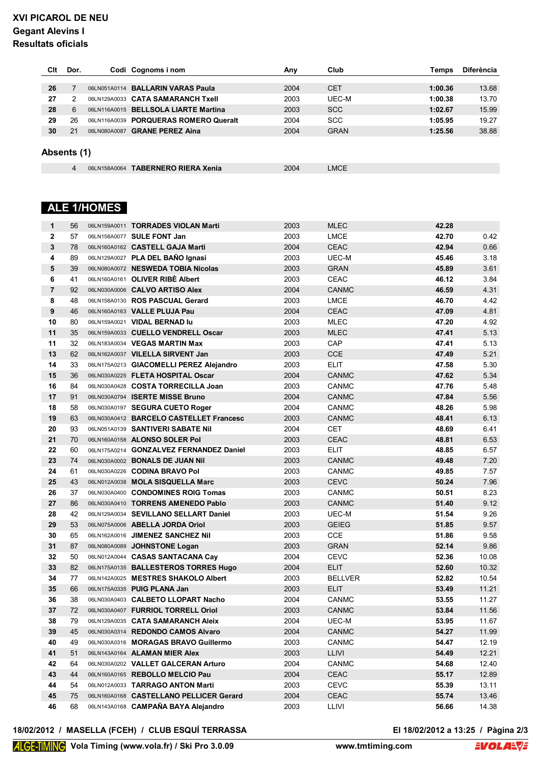# **XVI PICAROL DE NEU Gegant Alevins I Resultats oficials**

| Clt         | Dor. |              | Codi Cognoms i nom                    | Any  | Club        | Temps   | <b>Diferència</b> |
|-------------|------|--------------|---------------------------------------|------|-------------|---------|-------------------|
|             |      |              |                                       |      |             |         |                   |
| 26          |      |              | 06LN051A0114 BALLARIN VARAS Paula     | 2004 | <b>CET</b>  | 1:00.36 | 13.68             |
| 27          | 2    |              | 06LN129A0033 CATA SAMARANCH Txell     | 2003 | UEC-M       | 1:00.38 | 13.70             |
| 28          | 6    |              | 06LN116A0015 BELLSOLA LIARTE Martina  | 2003 | <b>SCC</b>  | 1:02.67 | 15.99             |
| 29          | 26   |              | 06LN116A0039 PORQUERAS ROMERO Queralt | 2004 | <b>SCC</b>  | 1:05.95 | 19.27             |
| 30          | 21   | 06LN080A0087 | <b>GRANE PEREZ Aina</b>               | 2004 | <b>GRAN</b> | 1:25.56 | 38.88             |
| Absents (1) |      |              |                                       |      |             |         |                   |
|             | 4    |              | 06LN158A0064 TABERNERO RIERA Xenia    | 2004 | <b>LMCE</b> |         |                   |

# **ALE 1/HOMES**

| $\mathbf{2}$<br>2003<br>06LN158A0077 SULE FONT Jan<br>LMCE<br>42.70<br>0.42<br>57<br>2004<br><b>CEAC</b><br>0.66<br>3<br>06LN160A0162 CASTELL GAJA Marti<br>42.94<br>78<br>06LN129A0027 PLA DEL BAÑO Ignasi<br>2003<br>UEC-M<br>45.46<br>3.18<br>4<br>89<br>5<br>06LN080A0072 NESWEDA TOBIA Nicolas<br>2003<br><b>GRAN</b><br>3.61<br>39<br>45.89<br>6<br>06LN160A0161 OLIVER RIBE Albert<br>2003<br><b>CEAC</b><br>46.12<br>3.84<br>41<br>4.31<br>$\overline{7}$<br>92<br>06LN030A0006 CALVO ARTISO Alex<br>2004<br><b>CANMC</b><br>46.59<br><b>LMCE</b><br>4.42<br>8<br>48<br>06LN158A0130 ROS PASCUAL Gerard<br>2003<br>46.70<br>9<br>CEAC<br>46<br>06LN160A0163 VALLE PLUJA Pau<br>2004<br>47.09<br>4.81<br>10<br>47.20<br>4.92<br>80<br>06LN159A0021 VIDAL BERNAD lu<br>2003<br>MLEC<br>11<br>2003<br>5.13<br>35<br>06LN159A0033 CUELLO VENDRELL Oscar<br><b>MLEC</b><br>47.41<br>2003<br>11<br>32<br>06LN183A0034 VEGAS MARTIN Max<br><b>CAP</b><br>47.41<br>5.13<br>13<br><b>CCE</b><br>5.21<br>62<br>06LN162A0037 VILELLA SIRVENT Jan<br>2003<br>47.49<br>14<br>33<br>06LN175A0213 GIACOMELLI PEREZ Alejandro<br>2003<br><b>ELIT</b><br>47.58<br>5.30<br>15<br>5.34<br>06LN030A0225 FLETA HOSPITAL Oscar<br>2004<br><b>CANMC</b><br>47.62<br>36<br>16<br>84<br>06LN030A0428 COSTA TORRECILLA Joan<br>2003<br><b>CANMC</b><br>47.76<br>5.48<br>17<br>2004<br>5.56<br>91<br>06LN030A0794 ISERTE MISSE Bruno<br><b>CANMC</b><br>47.84<br>18<br>2004<br>5.98<br>58<br>06LN030A0197 SEGURA CUETO Roger<br><b>CANMC</b><br>48.26<br>19<br>6.13<br>63<br>06LN030A0412 BARCELO CASTELLET Francesc<br>2003<br><b>CANMC</b><br>48.41<br>20<br>93<br>06LN051A0139 SANTIVERI SABATE Nil<br>2004<br><b>CET</b><br>48.69<br>6.41<br>CEAC<br>21<br>06LN160A0158 ALONSO SOLER Pol<br>2003<br>48.81<br>6.53<br>70<br>6.57<br>22<br>2003<br><b>ELIT</b><br>48.85<br>60<br>06LN175A0214 GONZALVEZ FERNANDEZ Daniel<br>7.20<br>23<br>74<br>06LN030A0002 BONALS DE JUAN Nil<br>2003<br><b>CANMC</b><br>49.48<br>7.57<br>24<br>06LN030A0226 CODINA BRAVO Pol<br>2003<br><b>CANMC</b><br>49.85<br>61<br>25<br><b>CEVC</b><br>43<br>06LN012A0038 MOLA SISQUELLA Marc<br>2003<br>50.24<br>7.96<br>26<br>8.23<br>37<br>06LN030A0400 CONDOMINES ROIG Tomas<br>2003<br><b>CANMC</b><br>50.51<br>27<br>2003<br><b>CANMC</b><br>51.40<br>9.12<br>86<br>06LN030A0410 TORRENS AMENEDO Pablo<br>9.26<br>28<br>42<br>2003<br>UEC-M<br>51.54<br>06LN129A0034 SEVILLANO SELLART Daniel<br>29<br>2003<br><b>GEIEG</b><br>51.85<br>9.57<br>53<br>06LN075A0006 ABELLA JORDA Oriol<br>30<br>2003<br><b>CCE</b><br>9.58<br>65<br>06LN162A0016 JIMENEZ SANCHEZ Nil<br>51.86<br>31<br>2003<br><b>GRAN</b><br>9.86<br>87<br>06LN080A0089 JOHNSTONE Logan<br>52.14<br>32<br>2004<br><b>CEVC</b><br>10.08<br>50<br>06LN012A0044 CASAS SANTACANA Cay<br>52.36<br>33<br>82<br>2004<br><b>ELIT</b><br>52.60<br>10.32<br>06LN175A0135 BALLESTEROS TORRES Hugo<br>10.54<br>34<br>77<br>06LN142A0025 MESTRES SHAKOLO Albert<br>2003<br><b>BELLVER</b><br>52.82<br>35<br>11.21<br>2003<br><b>ELIT</b><br>53.49<br>66<br>06LN175A0335 PUIG PLANA Jan<br>2004<br>11.27<br>36<br>06LN030A0403 CALBETO LLOPART Nacho<br><b>CANMC</b><br>53.55<br>38<br>2003<br>11.56<br>37<br>06LN030A0407 FURRIOL TORRELL Oriol<br><b>CANMC</b><br>53.84<br>72<br>38<br>79<br>06LN129A0035 CATA SAMARANCH Aleix<br>2004<br>UEC-M<br>53.95<br>11.67<br>39<br>06LN030A0314 REDONDO CAMOS Alvaro<br>2004<br><b>CANMC</b><br>54.27<br>11.99<br>45<br>40<br>2003<br><b>CANMC</b><br>54.47<br>12.19<br>49<br>06LN030A0316 MORAGAS BRAVO Guillermo<br>2003<br>54.49<br>12.21<br>41<br>06LN143A0164 ALAMAN MIER Alex<br><b>LLIVI</b><br>51<br>42<br>64<br>06LN030A0202 VALLET GALCERAN Arturo<br>2004<br><b>CANMC</b><br>54.68<br>12.40<br>2004<br>43<br>06LN160A0165 REBOLLO MELCIO Pau<br>CEAC<br>55.17<br>12.89<br>44<br><b>CEVC</b><br>44<br>54<br>06LN012A0033 TARRAGO ANTON Marti<br>2003<br>55.39<br>13.11<br>2004<br>CEAC<br>45<br>06LN160A0168 CASTELLANO PELLICER Gerard<br>55.74<br>13.46<br>75<br>06LN143A0168 CAMPAÑA BAYA Alejandro<br>46<br>2003<br>LLIVI<br>56.66<br>14.38<br>68 | 1 | 56 | 06LN159A0011 TORRADES VIOLAN Marti | 2003 | <b>MLEC</b> | 42.28 |  |
|--------------------------------------------------------------------------------------------------------------------------------------------------------------------------------------------------------------------------------------------------------------------------------------------------------------------------------------------------------------------------------------------------------------------------------------------------------------------------------------------------------------------------------------------------------------------------------------------------------------------------------------------------------------------------------------------------------------------------------------------------------------------------------------------------------------------------------------------------------------------------------------------------------------------------------------------------------------------------------------------------------------------------------------------------------------------------------------------------------------------------------------------------------------------------------------------------------------------------------------------------------------------------------------------------------------------------------------------------------------------------------------------------------------------------------------------------------------------------------------------------------------------------------------------------------------------------------------------------------------------------------------------------------------------------------------------------------------------------------------------------------------------------------------------------------------------------------------------------------------------------------------------------------------------------------------------------------------------------------------------------------------------------------------------------------------------------------------------------------------------------------------------------------------------------------------------------------------------------------------------------------------------------------------------------------------------------------------------------------------------------------------------------------------------------------------------------------------------------------------------------------------------------------------------------------------------------------------------------------------------------------------------------------------------------------------------------------------------------------------------------------------------------------------------------------------------------------------------------------------------------------------------------------------------------------------------------------------------------------------------------------------------------------------------------------------------------------------------------------------------------------------------------------------------------------------------------------------------------------------------------------------------------------------------------------------------------------------------------------------------------------------------------------------------------------------------------------------------------------------------------------------------------------------------------------------------------------------------------------------------------------------------------------------------------------------------------------------------------------------------------------------------------------------------------------------------------------------------------------------------------------------------------------------------------------------------------------------------------------------------------------------------------------------------------------------------------------------------------------------------------|---|----|------------------------------------|------|-------------|-------|--|
|                                                                                                                                                                                                                                                                                                                                                                                                                                                                                                                                                                                                                                                                                                                                                                                                                                                                                                                                                                                                                                                                                                                                                                                                                                                                                                                                                                                                                                                                                                                                                                                                                                                                                                                                                                                                                                                                                                                                                                                                                                                                                                                                                                                                                                                                                                                                                                                                                                                                                                                                                                                                                                                                                                                                                                                                                                                                                                                                                                                                                                                                                                                                                                                                                                                                                                                                                                                                                                                                                                                                                                                                                                                                                                                                                                                                                                                                                                                                                                                                                                                                                                                          |   |    |                                    |      |             |       |  |
|                                                                                                                                                                                                                                                                                                                                                                                                                                                                                                                                                                                                                                                                                                                                                                                                                                                                                                                                                                                                                                                                                                                                                                                                                                                                                                                                                                                                                                                                                                                                                                                                                                                                                                                                                                                                                                                                                                                                                                                                                                                                                                                                                                                                                                                                                                                                                                                                                                                                                                                                                                                                                                                                                                                                                                                                                                                                                                                                                                                                                                                                                                                                                                                                                                                                                                                                                                                                                                                                                                                                                                                                                                                                                                                                                                                                                                                                                                                                                                                                                                                                                                                          |   |    |                                    |      |             |       |  |
|                                                                                                                                                                                                                                                                                                                                                                                                                                                                                                                                                                                                                                                                                                                                                                                                                                                                                                                                                                                                                                                                                                                                                                                                                                                                                                                                                                                                                                                                                                                                                                                                                                                                                                                                                                                                                                                                                                                                                                                                                                                                                                                                                                                                                                                                                                                                                                                                                                                                                                                                                                                                                                                                                                                                                                                                                                                                                                                                                                                                                                                                                                                                                                                                                                                                                                                                                                                                                                                                                                                                                                                                                                                                                                                                                                                                                                                                                                                                                                                                                                                                                                                          |   |    |                                    |      |             |       |  |
|                                                                                                                                                                                                                                                                                                                                                                                                                                                                                                                                                                                                                                                                                                                                                                                                                                                                                                                                                                                                                                                                                                                                                                                                                                                                                                                                                                                                                                                                                                                                                                                                                                                                                                                                                                                                                                                                                                                                                                                                                                                                                                                                                                                                                                                                                                                                                                                                                                                                                                                                                                                                                                                                                                                                                                                                                                                                                                                                                                                                                                                                                                                                                                                                                                                                                                                                                                                                                                                                                                                                                                                                                                                                                                                                                                                                                                                                                                                                                                                                                                                                                                                          |   |    |                                    |      |             |       |  |
|                                                                                                                                                                                                                                                                                                                                                                                                                                                                                                                                                                                                                                                                                                                                                                                                                                                                                                                                                                                                                                                                                                                                                                                                                                                                                                                                                                                                                                                                                                                                                                                                                                                                                                                                                                                                                                                                                                                                                                                                                                                                                                                                                                                                                                                                                                                                                                                                                                                                                                                                                                                                                                                                                                                                                                                                                                                                                                                                                                                                                                                                                                                                                                                                                                                                                                                                                                                                                                                                                                                                                                                                                                                                                                                                                                                                                                                                                                                                                                                                                                                                                                                          |   |    |                                    |      |             |       |  |
|                                                                                                                                                                                                                                                                                                                                                                                                                                                                                                                                                                                                                                                                                                                                                                                                                                                                                                                                                                                                                                                                                                                                                                                                                                                                                                                                                                                                                                                                                                                                                                                                                                                                                                                                                                                                                                                                                                                                                                                                                                                                                                                                                                                                                                                                                                                                                                                                                                                                                                                                                                                                                                                                                                                                                                                                                                                                                                                                                                                                                                                                                                                                                                                                                                                                                                                                                                                                                                                                                                                                                                                                                                                                                                                                                                                                                                                                                                                                                                                                                                                                                                                          |   |    |                                    |      |             |       |  |
|                                                                                                                                                                                                                                                                                                                                                                                                                                                                                                                                                                                                                                                                                                                                                                                                                                                                                                                                                                                                                                                                                                                                                                                                                                                                                                                                                                                                                                                                                                                                                                                                                                                                                                                                                                                                                                                                                                                                                                                                                                                                                                                                                                                                                                                                                                                                                                                                                                                                                                                                                                                                                                                                                                                                                                                                                                                                                                                                                                                                                                                                                                                                                                                                                                                                                                                                                                                                                                                                                                                                                                                                                                                                                                                                                                                                                                                                                                                                                                                                                                                                                                                          |   |    |                                    |      |             |       |  |
|                                                                                                                                                                                                                                                                                                                                                                                                                                                                                                                                                                                                                                                                                                                                                                                                                                                                                                                                                                                                                                                                                                                                                                                                                                                                                                                                                                                                                                                                                                                                                                                                                                                                                                                                                                                                                                                                                                                                                                                                                                                                                                                                                                                                                                                                                                                                                                                                                                                                                                                                                                                                                                                                                                                                                                                                                                                                                                                                                                                                                                                                                                                                                                                                                                                                                                                                                                                                                                                                                                                                                                                                                                                                                                                                                                                                                                                                                                                                                                                                                                                                                                                          |   |    |                                    |      |             |       |  |
|                                                                                                                                                                                                                                                                                                                                                                                                                                                                                                                                                                                                                                                                                                                                                                                                                                                                                                                                                                                                                                                                                                                                                                                                                                                                                                                                                                                                                                                                                                                                                                                                                                                                                                                                                                                                                                                                                                                                                                                                                                                                                                                                                                                                                                                                                                                                                                                                                                                                                                                                                                                                                                                                                                                                                                                                                                                                                                                                                                                                                                                                                                                                                                                                                                                                                                                                                                                                                                                                                                                                                                                                                                                                                                                                                                                                                                                                                                                                                                                                                                                                                                                          |   |    |                                    |      |             |       |  |
|                                                                                                                                                                                                                                                                                                                                                                                                                                                                                                                                                                                                                                                                                                                                                                                                                                                                                                                                                                                                                                                                                                                                                                                                                                                                                                                                                                                                                                                                                                                                                                                                                                                                                                                                                                                                                                                                                                                                                                                                                                                                                                                                                                                                                                                                                                                                                                                                                                                                                                                                                                                                                                                                                                                                                                                                                                                                                                                                                                                                                                                                                                                                                                                                                                                                                                                                                                                                                                                                                                                                                                                                                                                                                                                                                                                                                                                                                                                                                                                                                                                                                                                          |   |    |                                    |      |             |       |  |
|                                                                                                                                                                                                                                                                                                                                                                                                                                                                                                                                                                                                                                                                                                                                                                                                                                                                                                                                                                                                                                                                                                                                                                                                                                                                                                                                                                                                                                                                                                                                                                                                                                                                                                                                                                                                                                                                                                                                                                                                                                                                                                                                                                                                                                                                                                                                                                                                                                                                                                                                                                                                                                                                                                                                                                                                                                                                                                                                                                                                                                                                                                                                                                                                                                                                                                                                                                                                                                                                                                                                                                                                                                                                                                                                                                                                                                                                                                                                                                                                                                                                                                                          |   |    |                                    |      |             |       |  |
|                                                                                                                                                                                                                                                                                                                                                                                                                                                                                                                                                                                                                                                                                                                                                                                                                                                                                                                                                                                                                                                                                                                                                                                                                                                                                                                                                                                                                                                                                                                                                                                                                                                                                                                                                                                                                                                                                                                                                                                                                                                                                                                                                                                                                                                                                                                                                                                                                                                                                                                                                                                                                                                                                                                                                                                                                                                                                                                                                                                                                                                                                                                                                                                                                                                                                                                                                                                                                                                                                                                                                                                                                                                                                                                                                                                                                                                                                                                                                                                                                                                                                                                          |   |    |                                    |      |             |       |  |
|                                                                                                                                                                                                                                                                                                                                                                                                                                                                                                                                                                                                                                                                                                                                                                                                                                                                                                                                                                                                                                                                                                                                                                                                                                                                                                                                                                                                                                                                                                                                                                                                                                                                                                                                                                                                                                                                                                                                                                                                                                                                                                                                                                                                                                                                                                                                                                                                                                                                                                                                                                                                                                                                                                                                                                                                                                                                                                                                                                                                                                                                                                                                                                                                                                                                                                                                                                                                                                                                                                                                                                                                                                                                                                                                                                                                                                                                                                                                                                                                                                                                                                                          |   |    |                                    |      |             |       |  |
|                                                                                                                                                                                                                                                                                                                                                                                                                                                                                                                                                                                                                                                                                                                                                                                                                                                                                                                                                                                                                                                                                                                                                                                                                                                                                                                                                                                                                                                                                                                                                                                                                                                                                                                                                                                                                                                                                                                                                                                                                                                                                                                                                                                                                                                                                                                                                                                                                                                                                                                                                                                                                                                                                                                                                                                                                                                                                                                                                                                                                                                                                                                                                                                                                                                                                                                                                                                                                                                                                                                                                                                                                                                                                                                                                                                                                                                                                                                                                                                                                                                                                                                          |   |    |                                    |      |             |       |  |
|                                                                                                                                                                                                                                                                                                                                                                                                                                                                                                                                                                                                                                                                                                                                                                                                                                                                                                                                                                                                                                                                                                                                                                                                                                                                                                                                                                                                                                                                                                                                                                                                                                                                                                                                                                                                                                                                                                                                                                                                                                                                                                                                                                                                                                                                                                                                                                                                                                                                                                                                                                                                                                                                                                                                                                                                                                                                                                                                                                                                                                                                                                                                                                                                                                                                                                                                                                                                                                                                                                                                                                                                                                                                                                                                                                                                                                                                                                                                                                                                                                                                                                                          |   |    |                                    |      |             |       |  |
|                                                                                                                                                                                                                                                                                                                                                                                                                                                                                                                                                                                                                                                                                                                                                                                                                                                                                                                                                                                                                                                                                                                                                                                                                                                                                                                                                                                                                                                                                                                                                                                                                                                                                                                                                                                                                                                                                                                                                                                                                                                                                                                                                                                                                                                                                                                                                                                                                                                                                                                                                                                                                                                                                                                                                                                                                                                                                                                                                                                                                                                                                                                                                                                                                                                                                                                                                                                                                                                                                                                                                                                                                                                                                                                                                                                                                                                                                                                                                                                                                                                                                                                          |   |    |                                    |      |             |       |  |
|                                                                                                                                                                                                                                                                                                                                                                                                                                                                                                                                                                                                                                                                                                                                                                                                                                                                                                                                                                                                                                                                                                                                                                                                                                                                                                                                                                                                                                                                                                                                                                                                                                                                                                                                                                                                                                                                                                                                                                                                                                                                                                                                                                                                                                                                                                                                                                                                                                                                                                                                                                                                                                                                                                                                                                                                                                                                                                                                                                                                                                                                                                                                                                                                                                                                                                                                                                                                                                                                                                                                                                                                                                                                                                                                                                                                                                                                                                                                                                                                                                                                                                                          |   |    |                                    |      |             |       |  |
|                                                                                                                                                                                                                                                                                                                                                                                                                                                                                                                                                                                                                                                                                                                                                                                                                                                                                                                                                                                                                                                                                                                                                                                                                                                                                                                                                                                                                                                                                                                                                                                                                                                                                                                                                                                                                                                                                                                                                                                                                                                                                                                                                                                                                                                                                                                                                                                                                                                                                                                                                                                                                                                                                                                                                                                                                                                                                                                                                                                                                                                                                                                                                                                                                                                                                                                                                                                                                                                                                                                                                                                                                                                                                                                                                                                                                                                                                                                                                                                                                                                                                                                          |   |    |                                    |      |             |       |  |
|                                                                                                                                                                                                                                                                                                                                                                                                                                                                                                                                                                                                                                                                                                                                                                                                                                                                                                                                                                                                                                                                                                                                                                                                                                                                                                                                                                                                                                                                                                                                                                                                                                                                                                                                                                                                                                                                                                                                                                                                                                                                                                                                                                                                                                                                                                                                                                                                                                                                                                                                                                                                                                                                                                                                                                                                                                                                                                                                                                                                                                                                                                                                                                                                                                                                                                                                                                                                                                                                                                                                                                                                                                                                                                                                                                                                                                                                                                                                                                                                                                                                                                                          |   |    |                                    |      |             |       |  |
|                                                                                                                                                                                                                                                                                                                                                                                                                                                                                                                                                                                                                                                                                                                                                                                                                                                                                                                                                                                                                                                                                                                                                                                                                                                                                                                                                                                                                                                                                                                                                                                                                                                                                                                                                                                                                                                                                                                                                                                                                                                                                                                                                                                                                                                                                                                                                                                                                                                                                                                                                                                                                                                                                                                                                                                                                                                                                                                                                                                                                                                                                                                                                                                                                                                                                                                                                                                                                                                                                                                                                                                                                                                                                                                                                                                                                                                                                                                                                                                                                                                                                                                          |   |    |                                    |      |             |       |  |
|                                                                                                                                                                                                                                                                                                                                                                                                                                                                                                                                                                                                                                                                                                                                                                                                                                                                                                                                                                                                                                                                                                                                                                                                                                                                                                                                                                                                                                                                                                                                                                                                                                                                                                                                                                                                                                                                                                                                                                                                                                                                                                                                                                                                                                                                                                                                                                                                                                                                                                                                                                                                                                                                                                                                                                                                                                                                                                                                                                                                                                                                                                                                                                                                                                                                                                                                                                                                                                                                                                                                                                                                                                                                                                                                                                                                                                                                                                                                                                                                                                                                                                                          |   |    |                                    |      |             |       |  |
|                                                                                                                                                                                                                                                                                                                                                                                                                                                                                                                                                                                                                                                                                                                                                                                                                                                                                                                                                                                                                                                                                                                                                                                                                                                                                                                                                                                                                                                                                                                                                                                                                                                                                                                                                                                                                                                                                                                                                                                                                                                                                                                                                                                                                                                                                                                                                                                                                                                                                                                                                                                                                                                                                                                                                                                                                                                                                                                                                                                                                                                                                                                                                                                                                                                                                                                                                                                                                                                                                                                                                                                                                                                                                                                                                                                                                                                                                                                                                                                                                                                                                                                          |   |    |                                    |      |             |       |  |
|                                                                                                                                                                                                                                                                                                                                                                                                                                                                                                                                                                                                                                                                                                                                                                                                                                                                                                                                                                                                                                                                                                                                                                                                                                                                                                                                                                                                                                                                                                                                                                                                                                                                                                                                                                                                                                                                                                                                                                                                                                                                                                                                                                                                                                                                                                                                                                                                                                                                                                                                                                                                                                                                                                                                                                                                                                                                                                                                                                                                                                                                                                                                                                                                                                                                                                                                                                                                                                                                                                                                                                                                                                                                                                                                                                                                                                                                                                                                                                                                                                                                                                                          |   |    |                                    |      |             |       |  |
|                                                                                                                                                                                                                                                                                                                                                                                                                                                                                                                                                                                                                                                                                                                                                                                                                                                                                                                                                                                                                                                                                                                                                                                                                                                                                                                                                                                                                                                                                                                                                                                                                                                                                                                                                                                                                                                                                                                                                                                                                                                                                                                                                                                                                                                                                                                                                                                                                                                                                                                                                                                                                                                                                                                                                                                                                                                                                                                                                                                                                                                                                                                                                                                                                                                                                                                                                                                                                                                                                                                                                                                                                                                                                                                                                                                                                                                                                                                                                                                                                                                                                                                          |   |    |                                    |      |             |       |  |
|                                                                                                                                                                                                                                                                                                                                                                                                                                                                                                                                                                                                                                                                                                                                                                                                                                                                                                                                                                                                                                                                                                                                                                                                                                                                                                                                                                                                                                                                                                                                                                                                                                                                                                                                                                                                                                                                                                                                                                                                                                                                                                                                                                                                                                                                                                                                                                                                                                                                                                                                                                                                                                                                                                                                                                                                                                                                                                                                                                                                                                                                                                                                                                                                                                                                                                                                                                                                                                                                                                                                                                                                                                                                                                                                                                                                                                                                                                                                                                                                                                                                                                                          |   |    |                                    |      |             |       |  |
|                                                                                                                                                                                                                                                                                                                                                                                                                                                                                                                                                                                                                                                                                                                                                                                                                                                                                                                                                                                                                                                                                                                                                                                                                                                                                                                                                                                                                                                                                                                                                                                                                                                                                                                                                                                                                                                                                                                                                                                                                                                                                                                                                                                                                                                                                                                                                                                                                                                                                                                                                                                                                                                                                                                                                                                                                                                                                                                                                                                                                                                                                                                                                                                                                                                                                                                                                                                                                                                                                                                                                                                                                                                                                                                                                                                                                                                                                                                                                                                                                                                                                                                          |   |    |                                    |      |             |       |  |
|                                                                                                                                                                                                                                                                                                                                                                                                                                                                                                                                                                                                                                                                                                                                                                                                                                                                                                                                                                                                                                                                                                                                                                                                                                                                                                                                                                                                                                                                                                                                                                                                                                                                                                                                                                                                                                                                                                                                                                                                                                                                                                                                                                                                                                                                                                                                                                                                                                                                                                                                                                                                                                                                                                                                                                                                                                                                                                                                                                                                                                                                                                                                                                                                                                                                                                                                                                                                                                                                                                                                                                                                                                                                                                                                                                                                                                                                                                                                                                                                                                                                                                                          |   |    |                                    |      |             |       |  |
|                                                                                                                                                                                                                                                                                                                                                                                                                                                                                                                                                                                                                                                                                                                                                                                                                                                                                                                                                                                                                                                                                                                                                                                                                                                                                                                                                                                                                                                                                                                                                                                                                                                                                                                                                                                                                                                                                                                                                                                                                                                                                                                                                                                                                                                                                                                                                                                                                                                                                                                                                                                                                                                                                                                                                                                                                                                                                                                                                                                                                                                                                                                                                                                                                                                                                                                                                                                                                                                                                                                                                                                                                                                                                                                                                                                                                                                                                                                                                                                                                                                                                                                          |   |    |                                    |      |             |       |  |
|                                                                                                                                                                                                                                                                                                                                                                                                                                                                                                                                                                                                                                                                                                                                                                                                                                                                                                                                                                                                                                                                                                                                                                                                                                                                                                                                                                                                                                                                                                                                                                                                                                                                                                                                                                                                                                                                                                                                                                                                                                                                                                                                                                                                                                                                                                                                                                                                                                                                                                                                                                                                                                                                                                                                                                                                                                                                                                                                                                                                                                                                                                                                                                                                                                                                                                                                                                                                                                                                                                                                                                                                                                                                                                                                                                                                                                                                                                                                                                                                                                                                                                                          |   |    |                                    |      |             |       |  |
|                                                                                                                                                                                                                                                                                                                                                                                                                                                                                                                                                                                                                                                                                                                                                                                                                                                                                                                                                                                                                                                                                                                                                                                                                                                                                                                                                                                                                                                                                                                                                                                                                                                                                                                                                                                                                                                                                                                                                                                                                                                                                                                                                                                                                                                                                                                                                                                                                                                                                                                                                                                                                                                                                                                                                                                                                                                                                                                                                                                                                                                                                                                                                                                                                                                                                                                                                                                                                                                                                                                                                                                                                                                                                                                                                                                                                                                                                                                                                                                                                                                                                                                          |   |    |                                    |      |             |       |  |
|                                                                                                                                                                                                                                                                                                                                                                                                                                                                                                                                                                                                                                                                                                                                                                                                                                                                                                                                                                                                                                                                                                                                                                                                                                                                                                                                                                                                                                                                                                                                                                                                                                                                                                                                                                                                                                                                                                                                                                                                                                                                                                                                                                                                                                                                                                                                                                                                                                                                                                                                                                                                                                                                                                                                                                                                                                                                                                                                                                                                                                                                                                                                                                                                                                                                                                                                                                                                                                                                                                                                                                                                                                                                                                                                                                                                                                                                                                                                                                                                                                                                                                                          |   |    |                                    |      |             |       |  |
|                                                                                                                                                                                                                                                                                                                                                                                                                                                                                                                                                                                                                                                                                                                                                                                                                                                                                                                                                                                                                                                                                                                                                                                                                                                                                                                                                                                                                                                                                                                                                                                                                                                                                                                                                                                                                                                                                                                                                                                                                                                                                                                                                                                                                                                                                                                                                                                                                                                                                                                                                                                                                                                                                                                                                                                                                                                                                                                                                                                                                                                                                                                                                                                                                                                                                                                                                                                                                                                                                                                                                                                                                                                                                                                                                                                                                                                                                                                                                                                                                                                                                                                          |   |    |                                    |      |             |       |  |
|                                                                                                                                                                                                                                                                                                                                                                                                                                                                                                                                                                                                                                                                                                                                                                                                                                                                                                                                                                                                                                                                                                                                                                                                                                                                                                                                                                                                                                                                                                                                                                                                                                                                                                                                                                                                                                                                                                                                                                                                                                                                                                                                                                                                                                                                                                                                                                                                                                                                                                                                                                                                                                                                                                                                                                                                                                                                                                                                                                                                                                                                                                                                                                                                                                                                                                                                                                                                                                                                                                                                                                                                                                                                                                                                                                                                                                                                                                                                                                                                                                                                                                                          |   |    |                                    |      |             |       |  |
|                                                                                                                                                                                                                                                                                                                                                                                                                                                                                                                                                                                                                                                                                                                                                                                                                                                                                                                                                                                                                                                                                                                                                                                                                                                                                                                                                                                                                                                                                                                                                                                                                                                                                                                                                                                                                                                                                                                                                                                                                                                                                                                                                                                                                                                                                                                                                                                                                                                                                                                                                                                                                                                                                                                                                                                                                                                                                                                                                                                                                                                                                                                                                                                                                                                                                                                                                                                                                                                                                                                                                                                                                                                                                                                                                                                                                                                                                                                                                                                                                                                                                                                          |   |    |                                    |      |             |       |  |
|                                                                                                                                                                                                                                                                                                                                                                                                                                                                                                                                                                                                                                                                                                                                                                                                                                                                                                                                                                                                                                                                                                                                                                                                                                                                                                                                                                                                                                                                                                                                                                                                                                                                                                                                                                                                                                                                                                                                                                                                                                                                                                                                                                                                                                                                                                                                                                                                                                                                                                                                                                                                                                                                                                                                                                                                                                                                                                                                                                                                                                                                                                                                                                                                                                                                                                                                                                                                                                                                                                                                                                                                                                                                                                                                                                                                                                                                                                                                                                                                                                                                                                                          |   |    |                                    |      |             |       |  |
|                                                                                                                                                                                                                                                                                                                                                                                                                                                                                                                                                                                                                                                                                                                                                                                                                                                                                                                                                                                                                                                                                                                                                                                                                                                                                                                                                                                                                                                                                                                                                                                                                                                                                                                                                                                                                                                                                                                                                                                                                                                                                                                                                                                                                                                                                                                                                                                                                                                                                                                                                                                                                                                                                                                                                                                                                                                                                                                                                                                                                                                                                                                                                                                                                                                                                                                                                                                                                                                                                                                                                                                                                                                                                                                                                                                                                                                                                                                                                                                                                                                                                                                          |   |    |                                    |      |             |       |  |
|                                                                                                                                                                                                                                                                                                                                                                                                                                                                                                                                                                                                                                                                                                                                                                                                                                                                                                                                                                                                                                                                                                                                                                                                                                                                                                                                                                                                                                                                                                                                                                                                                                                                                                                                                                                                                                                                                                                                                                                                                                                                                                                                                                                                                                                                                                                                                                                                                                                                                                                                                                                                                                                                                                                                                                                                                                                                                                                                                                                                                                                                                                                                                                                                                                                                                                                                                                                                                                                                                                                                                                                                                                                                                                                                                                                                                                                                                                                                                                                                                                                                                                                          |   |    |                                    |      |             |       |  |
|                                                                                                                                                                                                                                                                                                                                                                                                                                                                                                                                                                                                                                                                                                                                                                                                                                                                                                                                                                                                                                                                                                                                                                                                                                                                                                                                                                                                                                                                                                                                                                                                                                                                                                                                                                                                                                                                                                                                                                                                                                                                                                                                                                                                                                                                                                                                                                                                                                                                                                                                                                                                                                                                                                                                                                                                                                                                                                                                                                                                                                                                                                                                                                                                                                                                                                                                                                                                                                                                                                                                                                                                                                                                                                                                                                                                                                                                                                                                                                                                                                                                                                                          |   |    |                                    |      |             |       |  |
|                                                                                                                                                                                                                                                                                                                                                                                                                                                                                                                                                                                                                                                                                                                                                                                                                                                                                                                                                                                                                                                                                                                                                                                                                                                                                                                                                                                                                                                                                                                                                                                                                                                                                                                                                                                                                                                                                                                                                                                                                                                                                                                                                                                                                                                                                                                                                                                                                                                                                                                                                                                                                                                                                                                                                                                                                                                                                                                                                                                                                                                                                                                                                                                                                                                                                                                                                                                                                                                                                                                                                                                                                                                                                                                                                                                                                                                                                                                                                                                                                                                                                                                          |   |    |                                    |      |             |       |  |
|                                                                                                                                                                                                                                                                                                                                                                                                                                                                                                                                                                                                                                                                                                                                                                                                                                                                                                                                                                                                                                                                                                                                                                                                                                                                                                                                                                                                                                                                                                                                                                                                                                                                                                                                                                                                                                                                                                                                                                                                                                                                                                                                                                                                                                                                                                                                                                                                                                                                                                                                                                                                                                                                                                                                                                                                                                                                                                                                                                                                                                                                                                                                                                                                                                                                                                                                                                                                                                                                                                                                                                                                                                                                                                                                                                                                                                                                                                                                                                                                                                                                                                                          |   |    |                                    |      |             |       |  |
|                                                                                                                                                                                                                                                                                                                                                                                                                                                                                                                                                                                                                                                                                                                                                                                                                                                                                                                                                                                                                                                                                                                                                                                                                                                                                                                                                                                                                                                                                                                                                                                                                                                                                                                                                                                                                                                                                                                                                                                                                                                                                                                                                                                                                                                                                                                                                                                                                                                                                                                                                                                                                                                                                                                                                                                                                                                                                                                                                                                                                                                                                                                                                                                                                                                                                                                                                                                                                                                                                                                                                                                                                                                                                                                                                                                                                                                                                                                                                                                                                                                                                                                          |   |    |                                    |      |             |       |  |
|                                                                                                                                                                                                                                                                                                                                                                                                                                                                                                                                                                                                                                                                                                                                                                                                                                                                                                                                                                                                                                                                                                                                                                                                                                                                                                                                                                                                                                                                                                                                                                                                                                                                                                                                                                                                                                                                                                                                                                                                                                                                                                                                                                                                                                                                                                                                                                                                                                                                                                                                                                                                                                                                                                                                                                                                                                                                                                                                                                                                                                                                                                                                                                                                                                                                                                                                                                                                                                                                                                                                                                                                                                                                                                                                                                                                                                                                                                                                                                                                                                                                                                                          |   |    |                                    |      |             |       |  |
|                                                                                                                                                                                                                                                                                                                                                                                                                                                                                                                                                                                                                                                                                                                                                                                                                                                                                                                                                                                                                                                                                                                                                                                                                                                                                                                                                                                                                                                                                                                                                                                                                                                                                                                                                                                                                                                                                                                                                                                                                                                                                                                                                                                                                                                                                                                                                                                                                                                                                                                                                                                                                                                                                                                                                                                                                                                                                                                                                                                                                                                                                                                                                                                                                                                                                                                                                                                                                                                                                                                                                                                                                                                                                                                                                                                                                                                                                                                                                                                                                                                                                                                          |   |    |                                    |      |             |       |  |
|                                                                                                                                                                                                                                                                                                                                                                                                                                                                                                                                                                                                                                                                                                                                                                                                                                                                                                                                                                                                                                                                                                                                                                                                                                                                                                                                                                                                                                                                                                                                                                                                                                                                                                                                                                                                                                                                                                                                                                                                                                                                                                                                                                                                                                                                                                                                                                                                                                                                                                                                                                                                                                                                                                                                                                                                                                                                                                                                                                                                                                                                                                                                                                                                                                                                                                                                                                                                                                                                                                                                                                                                                                                                                                                                                                                                                                                                                                                                                                                                                                                                                                                          |   |    |                                    |      |             |       |  |
|                                                                                                                                                                                                                                                                                                                                                                                                                                                                                                                                                                                                                                                                                                                                                                                                                                                                                                                                                                                                                                                                                                                                                                                                                                                                                                                                                                                                                                                                                                                                                                                                                                                                                                                                                                                                                                                                                                                                                                                                                                                                                                                                                                                                                                                                                                                                                                                                                                                                                                                                                                                                                                                                                                                                                                                                                                                                                                                                                                                                                                                                                                                                                                                                                                                                                                                                                                                                                                                                                                                                                                                                                                                                                                                                                                                                                                                                                                                                                                                                                                                                                                                          |   |    |                                    |      |             |       |  |

### **18/02/2012 / MASELLA (FCEH) / CLUB ESQUÍ TERRASSA El 18/02/2012 a 13:25 / Pàgina 2/3**

El 18/02/2012 a 13:25 */ Pà*gina 2/3<br>**El OL A NE**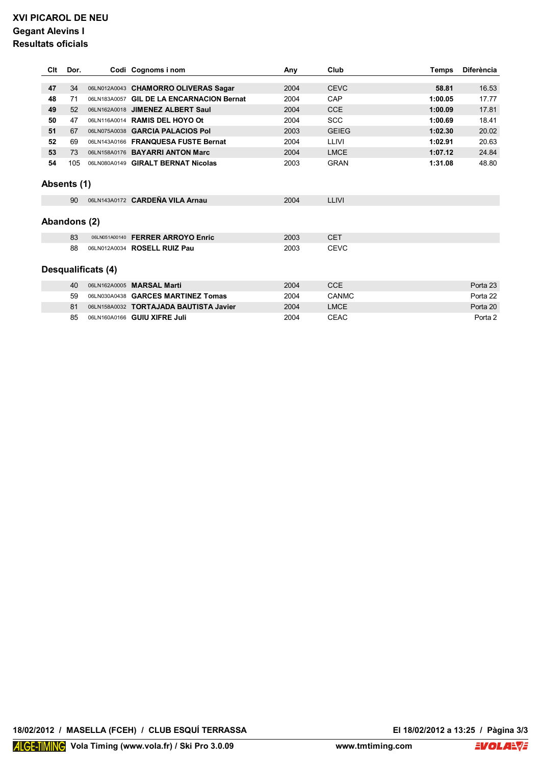# **XVI PICAROL DE NEU Gegant Alevins I Resultats oficials**

| Clt | Dor.         |                    | Codi Cognoms i nom                        | Any  | Club         | Temps   | <b>Diferència</b> |
|-----|--------------|--------------------|-------------------------------------------|------|--------------|---------|-------------------|
|     |              |                    |                                           |      |              |         |                   |
| 47  | 34           |                    | 06LN012A0043 CHAMORRO OLIVERAS Sagar      | 2004 | <b>CEVC</b>  | 58.81   | 16.53             |
| 48  | 71           |                    | 06LN183A0057 GIL DE LA ENCARNACION Bernat | 2004 | CAP          | 1:00.05 | 17.77             |
| 49  | 52           |                    | 06LN162A0018 JIMENEZ ALBERT Saul          | 2004 | <b>CCE</b>   | 1:00.09 | 17.81             |
| 50  | 47           |                    | 06LN116A0014 RAMIS DEL HOYO Ot            | 2004 | <b>SCC</b>   | 1:00.69 | 18.41             |
| 51  | 67           |                    | 06LN075A0038 GARCIA PALACIOS Pol          | 2003 | <b>GEIEG</b> | 1:02.30 | 20.02             |
| 52  | 69           |                    | 06LN143A0166 FRANQUESA FUSTE Bernat       | 2004 | LLIVI        | 1:02.91 | 20.63             |
| 53  | 73           |                    | 06LN158A0176 BAYARRI ANTON Marc           | 2004 | <b>LMCE</b>  | 1:07.12 | 24.84             |
| 54  | 105          |                    | 06LN080A0149 GIRALT BERNAT Nicolas        | 2003 | <b>GRAN</b>  | 1:31.08 | 48.80             |
|     |              |                    |                                           |      |              |         |                   |
|     | Absents (1)  |                    |                                           |      |              |         |                   |
|     | 90           |                    | 06LN143A0172 CARDEÑA VILA Arnau           | 2004 | LLIVI        |         |                   |
|     |              |                    |                                           |      |              |         |                   |
|     | Abandons (2) |                    |                                           |      |              |         |                   |
|     | 83           |                    | 06LN051A00140 FERRER ARROYO Enric         | 2003 | <b>CET</b>   |         |                   |
|     | 88           |                    | 06LN012A0034 ROSELL RUIZ Pau              | 2003 | <b>CEVC</b>  |         |                   |
|     |              |                    |                                           |      |              |         |                   |
|     |              | Desqualificats (4) |                                           |      |              |         |                   |
|     | 40           |                    | 06LN162A0005 MARSAL Marti                 | 2004 | <b>CCE</b>   |         | Porta 23          |
|     | 59           |                    | 06LN030A0438 GARCES MARTINEZ Tomas        | 2004 | CANMC        |         | Porta 22          |
|     | 81           |                    | 06LN158A0032 TORTAJADA BAUTISTA Javier    | 2004 | <b>LMCE</b>  |         | Porta 20          |
|     | 85           |                    | 06LN160A0166 GUIU XIFRE Juli              | 2004 | <b>CEAC</b>  |         | Porta 2           |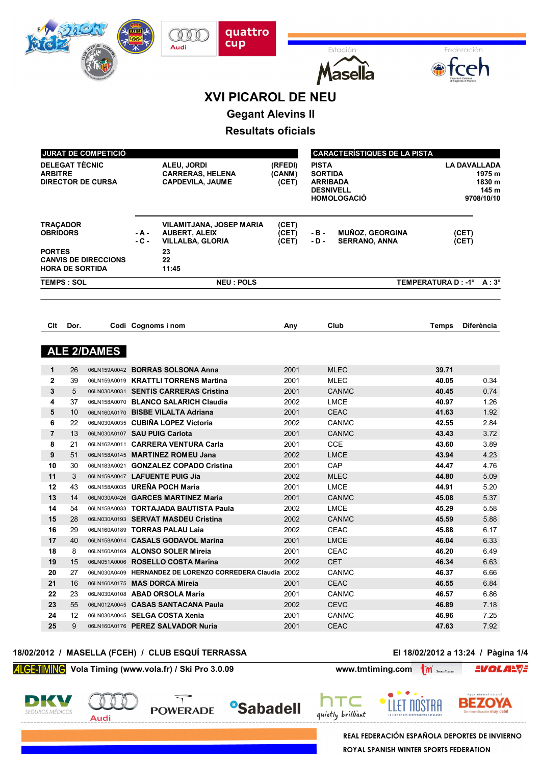|                                                     |                       |                                                       |                 | <b>XVI PICAROL DE NEU</b>                                                                        |                            |                                                                                             |                          |                                                                |
|-----------------------------------------------------|-----------------------|-------------------------------------------------------|-----------------|--------------------------------------------------------------------------------------------------|----------------------------|---------------------------------------------------------------------------------------------|--------------------------|----------------------------------------------------------------|
|                                                     |                       |                                                       |                 |                                                                                                  |                            |                                                                                             |                          |                                                                |
|                                                     |                       |                                                       |                 | <b>Gegant Alevins II</b>                                                                         |                            |                                                                                             |                          |                                                                |
|                                                     |                       |                                                       |                 | <b>Resultats oficials</b>                                                                        |                            |                                                                                             |                          |                                                                |
|                                                     |                       |                                                       |                 |                                                                                                  |                            |                                                                                             |                          |                                                                |
|                                                     |                       | JURAT DE COMPETICIÓ                                   |                 |                                                                                                  |                            | <b>CARACTERÍSTIQUES DE LA PISTA</b>                                                         |                          |                                                                |
| <b>ARBITRE</b>                                      | <b>DELEGAT TÈCNIC</b> | <b>DIRECTOR DE CURSA</b>                              |                 | ALEU, JORDI<br><b>CARRERAS, HELENA</b><br><b>CAPDEVILA, JAUME</b>                                | (RFEDI)<br>(CANM)<br>(CET) | <b>PISTA</b><br><b>SORTIDA</b><br><b>ARRIBADA</b><br><b>DESNIVELL</b><br><b>HOMOLOGACIO</b> |                          | <b>LA DAVALLADA</b><br>1975 m<br>1830 m<br>145 m<br>9708/10/10 |
| <b>TRACADOR</b><br><b>OBRIDORS</b><br><b>PORTES</b> |                       | <b>CANVIS DE DIRECCIONS</b><br><b>HORA DE SORTIDA</b> | - A -<br>$-C -$ | VILAMITJANA, JOSEP MARIA<br><b>AUBERT, ALEIX</b><br><b>VILLALBA, GLORIA</b><br>23<br>22<br>11:45 | (CET)<br>(CET)<br>(CET)    | <b>MUÑOZ, GEORGINA</b><br>- B -<br>- D -<br><b>SERRANO, ANNA</b>                            | (CET)<br>(CET)           |                                                                |
|                                                     | <b>TEMPS: SOL</b>     |                                                       |                 | <b>NEU : POLS</b>                                                                                |                            |                                                                                             | TEMPERATURA D: -1° A: 3° |                                                                |
|                                                     |                       |                                                       |                 |                                                                                                  |                            |                                                                                             |                          |                                                                |
| Clt                                                 | Dor.                  |                                                       |                 | Codi Cognoms i nom                                                                               | Any                        | Club                                                                                        | <b>Temps</b>             | <b>Diferència</b>                                              |
|                                                     |                       | <b>ALE 2/DAMES</b>                                    |                 |                                                                                                  |                            |                                                                                             |                          |                                                                |
| 1                                                   | 26                    |                                                       |                 | 06LN159A0042 BORRAS SOLSONA Anna                                                                 | 2001                       | <b>MLEC</b>                                                                                 | 39.71                    |                                                                |
| $\mathbf{2}$                                        | 39                    |                                                       |                 | 06LN159A0019 KRATTLI TORRENS Martina                                                             | 2001                       | <b>MLEC</b>                                                                                 | 40.05                    | 0.34                                                           |
| 3                                                   | 5                     |                                                       |                 | 06LN030A0031 SENTIS CARRERAS Cristina                                                            | 2001                       | <b>CANMC</b>                                                                                | 40.45                    | 0.74                                                           |
| 4                                                   | 37                    |                                                       |                 | 06LN158A0070 BLANCO SALARICH Claudia                                                             | 2002                       | <b>LMCE</b>                                                                                 | 40.97                    | 1.26                                                           |
| 5                                                   | 10                    |                                                       |                 | 06LN160A0170 BISBE VILALTA Adriana                                                               | 2001                       | <b>CEAC</b>                                                                                 | 41.63                    | 1.92                                                           |
| 6                                                   | 22                    |                                                       |                 | 06LN030A0035 CUBIÑA LOPEZ Victoria                                                               | 2002                       | <b>CANMC</b>                                                                                | 42.55                    | 2.84                                                           |
| $\overline{7}$                                      | 13                    | 06LN030A0107 SAU PUIG Carlota                         |                 |                                                                                                  | 2001                       | <b>CANMC</b>                                                                                | 43.43                    | 3.72                                                           |
| 8                                                   | 21                    |                                                       |                 | 06LN162A0011 CARRERA VENTURA Carla                                                               | 2001                       | CCE                                                                                         | 43.60                    | 3.89                                                           |
| 9                                                   | 51                    |                                                       |                 | 06LN158A0145 MARTINEZ ROMEU Jana                                                                 | 2002                       | <b>LMCE</b>                                                                                 | 43.94                    | 4.23                                                           |
| 10                                                  | 30                    |                                                       |                 | 06LN183A0021 GONZALEZ COPADO Cristina                                                            | 2001                       | CAP                                                                                         | 44.47                    | 4.76                                                           |
| 11                                                  | 3                     |                                                       |                 | 06LN159A0047 LAFUENTE PUIG Jia                                                                   | 2002                       | <b>MLEC</b>                                                                                 | 44.80                    | 5.09                                                           |
| 12                                                  | 43                    |                                                       |                 | 06LN158A0035 UREÑA POCH Maria                                                                    | 2001                       | LMCE                                                                                        | 44.91                    | 5.20                                                           |
| 13                                                  | 14                    |                                                       |                 | 06LN030A0426 GARCES MARTINEZ Maria                                                               | 2001                       | <b>CANMC</b>                                                                                | 45.08                    | 5.37                                                           |
| 14                                                  | 54                    |                                                       |                 | 06LN158A0033 TORTAJADA BAUTISTA Paula                                                            | 2002                       | LMCE                                                                                        | 45.29                    | 5.58                                                           |
| 15                                                  | 28                    |                                                       |                 | 06LN030A0193 SERVAT MASDEU Cristina                                                              | 2002                       | <b>CANMC</b>                                                                                | 45.59                    | 5.88                                                           |
| 16                                                  | 29                    |                                                       |                 | 06LN160A0189 TORRAS PALAU Laia                                                                   | 2002                       | CEAC                                                                                        | 45.88                    | 6.17                                                           |
| 17                                                  | 40                    |                                                       |                 | 06LN158A0014 CASALS GODAVOL Marina                                                               | 2001                       | LMCE                                                                                        | 46.04                    | 6.33                                                           |
| 18                                                  | 8                     |                                                       |                 | 06LN160A0169 ALONSO SOLER Mireia                                                                 | 2001                       | CEAC                                                                                        | 46.20                    | 6.49                                                           |
| 19                                                  | 15                    |                                                       |                 | 06LN051A0006 ROSELLO COSTA Marina                                                                | 2002                       | <b>CET</b>                                                                                  | 46.34                    | 6.63                                                           |
| 20                                                  | 27                    |                                                       |                 | 06LN030A0409 HERNANDEZ DE LORENZO CORREDERA Claudia 2002                                         |                            | CANMC                                                                                       | 46.37                    | 6.66                                                           |
| 21                                                  | 16                    |                                                       |                 | 06LN160A0175 MAS DORCA Mireia                                                                    | 2001                       | CEAC                                                                                        | 46.55                    | 6.84                                                           |
| 22                                                  | 23                    |                                                       |                 | 06LN030A0108 ABAD ORSOLA Maria                                                                   | 2001                       | CANMC                                                                                       | 46.57                    | 6.86                                                           |
| 23                                                  | 55                    |                                                       |                 | 06LN012A0045 CASAS SANTACANA Paula                                                               | 2002                       | <b>CEVC</b>                                                                                 | 46.89                    | 7.18                                                           |
| 24                                                  | 12                    |                                                       |                 | 06LN030A0045 SELGA COSTA Xenia                                                                   | 2001                       | <b>CANMC</b>                                                                                | 46.96                    | 7.25                                                           |
| 25                                                  | 9                     |                                                       |                 | 06LN160A0176 PEREZ SALVADOR Nuria                                                                | 2001                       | <b>CEAC</b>                                                                                 | 47.63                    | 7.92                                                           |

quattro<br>cup

Fetaci

 $\mathcal{O}$ Audi

### **18/02/2012 / MASELLA (FCEH) / CLUB ESQUÍ TERRASSA El 18/02/2012 a 13:24 / Pàgina 1/4**

**EVOLARVE** 

**Vola Timing (www.vola.fr) / Ski Pro 3.0.09 www.tmtiming.com M** 

 $\overline{\mathcal{T}}$ 

**POWERADE** 









**REAL FEDERACIÓN ESPAÑOLA DEPORTES DE INVIERNO** ROYAL SPANISH WINTER SPORTS FEDERATION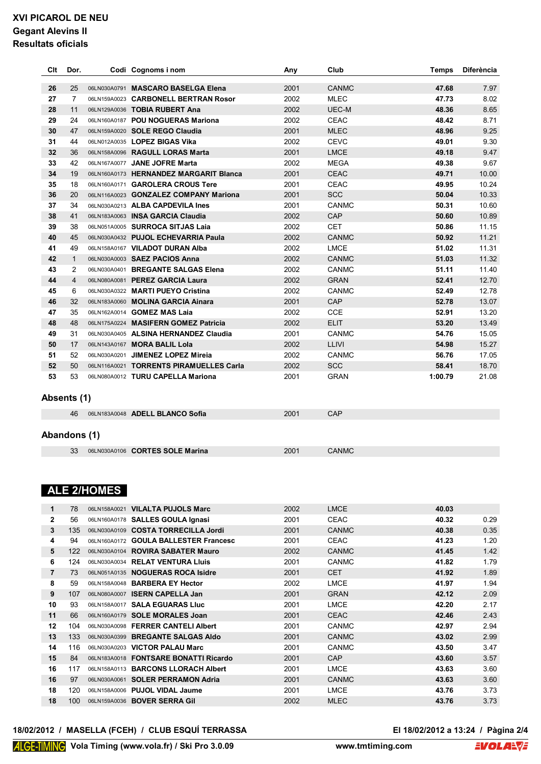# **XVI PICAROL DE NEU Gegant Alevins II Resultats oficials**

| Clt | Dor.           | Codi Cognoms i nom                      | Any  | Club         | <b>Temps</b> | <b>Diferència</b> |
|-----|----------------|-----------------------------------------|------|--------------|--------------|-------------------|
| 26  | 25             | 06LN030A0791 MASCARO BASELGA Elena      | 2001 | <b>CANMC</b> | 47.68        | 7.97              |
| 27  | $\overline{7}$ | 06LN159A0023 CARBONELL BERTRAN Rosor    | 2002 | <b>MLEC</b>  | 47.73        | 8.02              |
| 28  | 11             | 06LN129A0036 TOBIA RUBERT Ana           | 2002 | UEC-M        | 48.36        | 8.65              |
| 29  | 24             | 06LN160A0187 POU NOGUERAS Mariona       | 2002 | <b>CEAC</b>  | 48.42        | 8.71              |
| 30  | 47             | 06LN159A0020 SOLE REGO Claudia          | 2001 | <b>MLEC</b>  | 48.96        | 9.25              |
| 31  | 44             | 06LN012A0035 LOPEZ BIGAS Vika           | 2002 | <b>CEVC</b>  | 49.01        | 9.30              |
| 32  | 36             | 06LN158A0096 RAGULL LORAS Marta         | 2001 | <b>LMCE</b>  | 49.18        | 9.47              |
| 33  | 42             | 06LN167A0077 JANE JOFRE Marta           | 2002 | <b>MEGA</b>  | 49.38        | 9.67              |
| 34  | 19             | 06LN160A0173 HERNANDEZ MARGARIT Blanca  | 2001 | <b>CEAC</b>  | 49.71        | 10.00             |
| 35  | 18             | 06LN160A0171 GAROLERA CROUS Tere        | 2001 | <b>CEAC</b>  | 49.95        | 10.24             |
| 36  | 20             | 06LN116A0023 GONZALEZ COMPANY Mariona   | 2001 | <b>SCC</b>   | 50.04        | 10.33             |
| 37  | 34             | 06LN030A0213 ALBA CAPDEVILA Ines        | 2001 | <b>CANMC</b> | 50.31        | 10.60             |
| 38  | 41             | 06LN183A0063 INSA GARCIA Claudia        | 2002 | CAP          | 50.60        | 10.89             |
| 39  | 38             | 06LN051A0005 SURROCA SITJAS Laia        | 2002 | <b>CET</b>   | 50.86        | 11.15             |
| 40  | 45             | 06LN030A0432 PUJOL ECHEVARRIA Paula     | 2002 | <b>CANMC</b> | 50.92        | 11.21             |
| 41  | 49             | 06LN158A0167 VILADOT DURAN Alba         | 2002 | <b>LMCE</b>  | 51.02        | 11.31             |
| 42  | $\mathbf{1}$   | 06LN030A0003 SAEZ PACIOS Anna           | 2002 | <b>CANMC</b> | 51.03        | 11.32             |
| 43  | $\overline{2}$ | 06LN030A0401 BREGANTE SALGAS Elena      | 2002 | <b>CANMC</b> | 51.11        | 11.40             |
| 44  | $\overline{4}$ | 06LN080A0081 PEREZ GARCIA Laura         | 2002 | <b>GRAN</b>  | 52.41        | 12.70             |
| 45  | 6              | 06LN030A0322 MARTI PUEYO Cristina       | 2002 | <b>CANMC</b> | 52.49        | 12.78             |
| 46  | 32             | 06LN183A0060 MOLINA GARCIA Ainara       | 2001 | CAP          | 52.78        | 13.07             |
| 47  | 35             | 06LN162A0014 GOMEZ MAS Laia             | 2002 | CCE          | 52.91        | 13.20             |
| 48  | 48             | 06LN175A0224 MASIFERN GOMEZ Patricia    | 2002 | <b>ELIT</b>  | 53.20        | 13.49             |
| 49  | 31             | 06LN030A0405 ALSINA HERNANDEZ Claudia   | 2001 | <b>CANMC</b> | 54.76        | 15.05             |
| 50  | 17             | 06LN143A0167 MORA BALIL Lola            | 2002 | <b>LLIVI</b> | 54.98        | 15.27             |
| 51  | 52             | 06LN030A0201 JIMENEZ LOPEZ Mireia       | 2002 | <b>CANMC</b> | 56.76        | 17.05             |
| 52  | 50             | 06LN116A0021 TORRENTS PIRAMUELLES Carla | 2002 | <b>SCC</b>   | 58.41        | 18.70             |
| 53  | 53             | 06LN080A0012 TURU CAPELLA Mariona       | 2001 | <b>GRAN</b>  | 1:00.79      | 21.08             |
|     | Absents (1)    |                                         |      |              |              |                   |
|     | 46             | 06LN183A0048 ADELL BLANCO Sofia         | 2001 | CAP          |              |                   |
|     | Abandons (1)   |                                         |      |              |              |                   |
|     | 33             | 06LN030A0106 CORTES SOLE Marina         | 2001 | <b>CANMC</b> |              |                   |
|     |                |                                         |      |              |              |                   |

# **ALE 2/HOMES**

| 1            | 78  | 06LN158A0021 | <b>VILALTA PUJOLS Marc</b>          | 2002 | <b>LMCE</b>  | 40.03 |      |
|--------------|-----|--------------|-------------------------------------|------|--------------|-------|------|
| $\mathbf{2}$ | 56  |              | 06LN160A0178 SALLES GOULA Ignasi    | 2001 | <b>CEAC</b>  | 40.32 | 0.29 |
| 3            | 135 |              | 06LN030A0109 COSTA TORRECILLA Jordi | 2001 | <b>CANMC</b> | 40.38 | 0.35 |
| 4            | 94  | 06LN160A0172 | <b>GOULA BALLESTER Francesc</b>     | 2001 | <b>CEAC</b>  | 41.23 | 1.20 |
| 5            | 122 |              | 06LN030A0104 ROVIRA SABATER Mauro   | 2002 | <b>CANMC</b> | 41.45 | 1.42 |
| 6            | 124 | 06LN030A0034 | <b>RELAT VENTURA Lluis</b>          | 2001 | <b>CANMC</b> | 41.82 | 1.79 |
| 7            | 73  |              | 06LN051A0135 NOGUERAS ROCA Isidre   | 2001 | <b>CET</b>   | 41.92 | 1.89 |
| 8            | 59  | 06LN158A0048 | <b>BARBERA EY Hector</b>            | 2002 | <b>LMCE</b>  | 41.97 | 1.94 |
| 9            | 107 | 06LN080A0007 | <b>ISERN CAPELLA Jan</b>            | 2001 | <b>GRAN</b>  | 42.12 | 2.09 |
| 10           | 93  | 06LN158A0017 | <b>SALA EGUARAS LIUC</b>            | 2001 | <b>LMCE</b>  | 42.20 | 2.17 |
| 11           | 66  |              | 06LN160A0179 SOLE MORALES Joan      | 2001 | <b>CEAC</b>  | 42.46 | 2.43 |
| 12           | 104 | 06LN030A0098 | <b>FERRER CANTELI Albert</b>        | 2001 | <b>CANMC</b> | 42.97 | 2.94 |
| 13           | 133 | 06LN030A0399 | <b>BREGANTE SALGAS AIdo</b>         | 2001 | <b>CANMC</b> | 43.02 | 2.99 |
| 14           | 116 | 06LN030A0203 | <b>VICTOR PALAU Marc</b>            | 2001 | <b>CANMC</b> | 43.50 | 3.47 |
| 15           | 84  | 06LN183A0018 | <b>FONTSARE BONATTI Ricardo</b>     | 2001 | CAP          | 43.60 | 3.57 |
| 16           | 117 | 06LN158A0113 | <b>BARCONS LLORACH Albert</b>       | 2001 | <b>LMCE</b>  | 43.63 | 3.60 |
| 16           | 97  | 06LN030A0061 | <b>SOLER PERRAMON Adria</b>         | 2001 | <b>CANMC</b> | 43.63 | 3.60 |
| 18           | 120 | 06LN158A0006 | PUJOL VIDAL Jaume                   | 2001 | <b>LMCE</b>  | 43.76 | 3.73 |
| 18           | 100 | 06LN159A0036 | <b>BOVER SERRA Gil</b>              | 2002 | <b>MLEC</b>  | 43.76 | 3.73 |
|              |     |              |                                     |      |              |       |      |

### **18/02/2012 / MASELLA (FCEH) / CLUB ESQUÍ TERRASSA El 18/02/2012 a 13:24 / Pàgina 2/4**

El 18/02/2012 a 13:24 / Pàgina 2/4<br>**J.**com **EVOLA**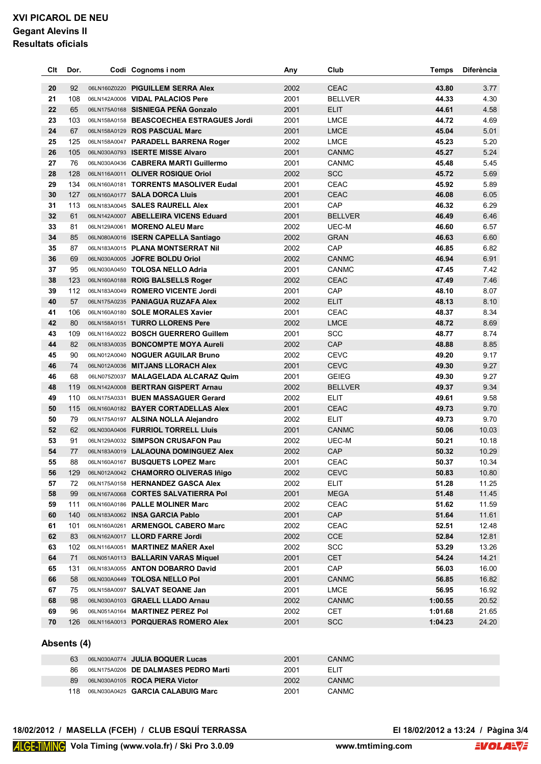# **XVI PICAROL DE NEU Gegant Alevins II Resultats oficials**

| Clt | Dor. | Codi Cognoms i nom                       | Any  | Club           | <b>Temps</b> | <b>Diferència</b> |
|-----|------|------------------------------------------|------|----------------|--------------|-------------------|
|     |      |                                          |      |                |              |                   |
| 20  | 92   | 06LN160Z0220 PIGUILLEM SERRA Alex        | 2002 | <b>CEAC</b>    | 43.80        | 3.77              |
| 21  | 108  | 06LN142A0006 VIDAL PALACIOS Pere         | 2001 | <b>BELLVER</b> | 44.33        | 4.30              |
| 22  | 65   | 06LN175A0168 SISNIEGA PEÑA Gonzalo       | 2001 | <b>ELIT</b>    | 44.61        | 4.58              |
| 23  | 103  | 06LN158A0158 BEASCOECHEA ESTRAGUES Jordi | 2001 | <b>LMCE</b>    | 44.72        | 4.69              |
| 24  | 67   | 06LN158A0129 ROS PASCUAL Marc            | 2001 | <b>LMCE</b>    | 45.04        | 5.01              |
| 25  | 125  | 06LN158A0047 PARADELL BARRENA Roger      | 2002 | <b>LMCE</b>    | 45.23        | 5.20              |
| 26  | 105  | 06LN030A0793 ISERTE MISSE Alvaro         | 2001 | <b>CANMC</b>   | 45.27        | 5.24              |
| 27  | 76   | 06LN030A0436 CABRERA MARTI Guillermo     | 2001 | <b>CANMC</b>   | 45.48        | 5.45              |
| 28  | 128  | 06LN116A0011 OLIVER ROSIQUE Oriol        | 2002 | SCC            | 45.72        | 5.69              |
| 29  | 134  | 06LN160A0181 TORRENTS MASOLIVER Eudal    | 2001 | <b>CEAC</b>    | 45.92        | 5.89              |
| 30  | 127  | 06LN160A0177 SALA DORCA Lluis            | 2001 | <b>CEAC</b>    | 46.08        | 6.05              |
| 31  | 113  | 06LN183A0045 SALES RAURELL Alex          | 2001 | CAP            | 46.32        | 6.29              |
| 32  | 61   | 06LN142A0007 ABELLEIRA VICENS Eduard     | 2001 | <b>BELLVER</b> | 46.49        | 6.46              |
| 33  | 81   | 06LN129A0061 MORENO ALEU Marc            | 2002 | UEC-M          | 46.60        | 6.57              |
| 34  | 85   | 06LN080A0016 ISERN CAPELLA Santiago      | 2002 | <b>GRAN</b>    | 46.63        | 6.60              |
| 35  | 87   | 06LN183A0015 PLANA MONTSERRAT Nil        | 2002 | CAP            | 46.85        | 6.82              |
| 36  | 69   | 06LN030A0005 JOFRE BOLDU Oriol           | 2002 | <b>CANMC</b>   | 46.94        | 6.91              |
| 37  | 95   | 06LN030A0450 TOLOSA NELLO Adria          | 2001 | <b>CANMC</b>   | 47.45        | 7.42              |
| 38  | 123  | 06LN160A0188 ROIG BALSELLS Roger         | 2002 | <b>CEAC</b>    | 47.49        | 7.46              |
| 39  | 112  | 06LN183A0049 ROMERO VICENTE Jordi        | 2001 | CAP            | 48.10        | 8.07              |
| 40  | 57   | 06LN175A0235 PANIAGUA RUZAFA Alex        | 2002 | <b>ELIT</b>    | 48.13        | 8.10              |
| 41  | 106  | 06LN160A0180 SOLE MORALES Xavier         | 2001 | <b>CEAC</b>    | 48.37        | 8.34              |
| 42  | 80   | 06LN158A0151 TURRO LLORENS Pere          | 2002 | <b>LMCE</b>    | 48.72        | 8.69              |
| 43  | 109  | 06LN116A0022 BOSCH GUERRERO Guillem      | 2001 | <b>SCC</b>     | 48.77        | 8.74              |
| 44  | 82   | 06LN183A0035 BONCOMPTE MOYA Aureli       | 2002 | CAP            | 48.88        | 8.85              |
| 45  | 90   | 06LN012A0040 NOGUER AGUILAR Bruno        | 2002 | <b>CEVC</b>    | 49.20        | 9.17              |
| 46  | 74   | 06LN012A0036 MITJANS LLORACH Alex        | 2001 | <b>CEVC</b>    | 49.30        | 9.27              |
| 46  | 68   | 06LN075Z0037 MALAGELADA ALCARAZ Quim     | 2001 | <b>GEIEG</b>   | 49.30        | 9.27              |
| 48  | 119  | 06LN142A0008 BERTRAN GISPERT Arnau       | 2002 | <b>BELLVER</b> | 49.37        | 9.34              |
| 49  | 110  | 06LN175A0331 BUEN MASSAGUER Gerard       | 2002 | <b>ELIT</b>    | 49.61        | 9.58              |
| 50  | 115  | 06LN160A0182 BAYER CORTADELLAS Alex      | 2001 | <b>CEAC</b>    | 49.73        | 9.70              |
| 50  | 79   | 06LN175A0197 ALSINA NOLLA Alejandro      | 2002 | <b>ELIT</b>    | 49.73        | 9.70              |
| 52  | 62   | 06LN030A0406 FURRIOL TORRELL Lluis       | 2001 | <b>CANMC</b>   | 50.06        | 10.03             |
| 53  | 91   | 06LN129A0032 SIMPSON CRUSAFON Pau        | 2002 | UEC-M          | 50.21        | 10.18             |
| 54  | 77   | 06LN183A0019 LALAOUNA DOMINGUEZ Alex     | 2002 | CAP            | 50.32        | 10.29             |
| 55  | 88   | 06LN160A0167 BUSQUETS LOPEZ Marc         | 2001 | <b>CEAC</b>    | 50.37        | 10.34             |
| 56  |      | 129 06LN012A0042 CHAMORRO OLIVERAS Iñigo | 2002 | CEVC           | 50.83        | 10.80             |
| 57  | 72   | 06LN175A0158 HERNANDEZ GASCA Alex        | 2002 | ELIT           | 51.28        | 11.25             |
| 58  | 99   | 06LN167A0068 CORTES SALVATIERRA Pol      | 2001 | <b>MEGA</b>    | 51.48        | 11.45             |
| 59  | 111  | 06LN160A0186 PALLE MOLINER Marc          | 2002 | CEAC           | 51.62        | 11.59             |
| 60  | 140  | 06LN183A0062 INSA GARCIA Pablo           | 2001 | CAP            | 51.64        | 11.61             |
| 61  | 101  | 06LN160A0261 ARMENGOL CABERO Marc        | 2002 | CEAC           | 52.51        | 12.48             |
| 62  | 83   | 06LN162A0017 LLORD FARRE Jordi           | 2002 | CCE            | 52.84        | 12.81             |
| 63  | 102  | 06LN116A0051 MARTINEZ MAÑER Axel         | 2002 | <b>SCC</b>     | 53.29        | 13.26             |
| 64  | 71   | 06LN051A0113 BALLARIN VARAS Miquel       | 2001 | <b>CET</b>     | 54.24        | 14.21             |
| 65  | 131  | 06LN183A0055 ANTON DOBARRO David         | 2001 | CAP            | 56.03        | 16.00             |
| 66  | 58   | 06LN030A0449 TOLOSA NELLO Pol            | 2001 | <b>CANMC</b>   | 56.85        | 16.82             |
| 67  | 75   | 06LN158A0097 SALVAT SEOANE Jan           | 2001 | <b>LMCE</b>    | 56.95        | 16.92             |
| 68  | 98   | 06LN030A0103 GRAELL LLADO Arnau          | 2002 | <b>CANMC</b>   | 1:00.55      | 20.52             |
| 69  | 96   | 06LN051A0164 MARTINEZ PEREZ Pol          | 2002 | <b>CET</b>     | 1:01.68      | 21.65             |
|     |      |                                          |      |                |              |                   |
| 70  | 126  | 06LN116A0013 PORQUERAS ROMERO Alex       | 2001 | <b>SCC</b>     | 1:04.23      | 24.20             |

### **Absents (4)**

| 63   | 06LN030A0774 JULIA BOQUER Lucas      | 2001 | <b>CANMC</b> |
|------|--------------------------------------|------|--------------|
| 86   | 06LN175A0206 DE DALMASES PEDRO Marti | 2001 | ELIT         |
| 89   | 06LN030A0105 ROCA PIERA Victor       | 2002 | CANMC        |
| 118. | 06LN030A0425 GARCIA CALABUIG Marc    | 2001 | CANMC        |

### **18/02/2012 / MASELLA (FCEH) / CLUB ESQUÍ TERRASSA El 18/02/2012 a 13:24 / Pàgina 3/4**

El 18/02/2012 a 13:24 / Pàgina 3/4<br>**J**.com **EVOLA**